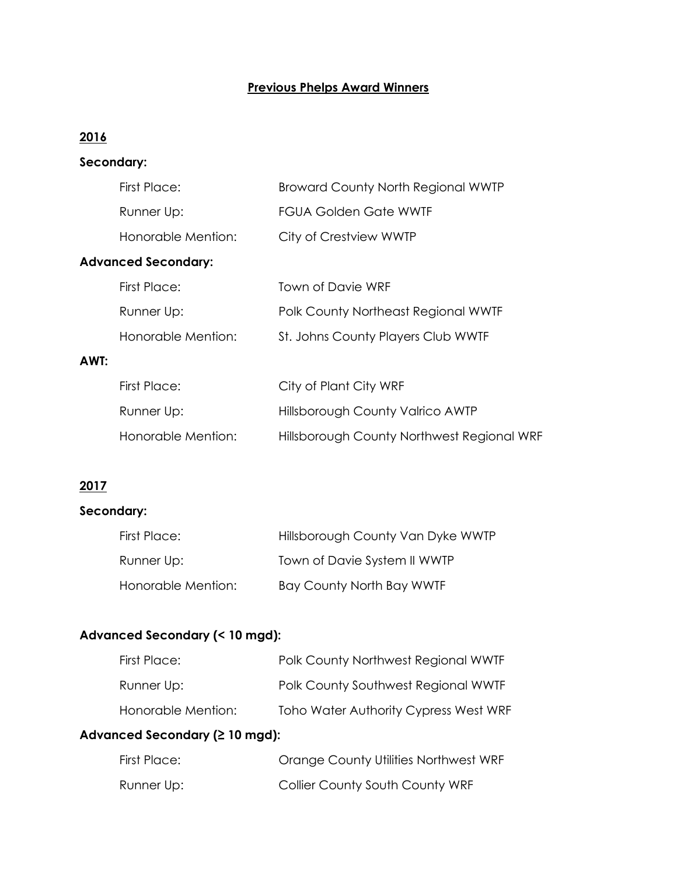# **Previous Phelps Award Winners**

# **2016**

## **Secondary:**

|      | First Place:               | <b>Broward County North Regional WWTP</b>  |
|------|----------------------------|--------------------------------------------|
|      | Runner Up:                 | <b>FGUA Golden Gate WWTF</b>               |
|      | Honorable Mention:         | City of Crestview WWTP                     |
|      | <b>Advanced Secondary:</b> |                                            |
|      | <b>First Place:</b>        | <b>Town of Davie WRF</b>                   |
|      | Runner Up:                 | Polk County Northeast Regional WWTF        |
|      | Honorable Mention:         | St. Johns County Players Club WWTF         |
| AWT: |                            |                                            |
|      | First Place:               | City of Plant City WRF                     |
|      | Runner Up:                 | <b>Hillsborough County Valrico AWTP</b>    |
|      | Honorable Mention:         | Hillsborough County Northwest Regional WRF |

# **2017**

# **Secondary:**

| First Place:       | Hillsborough County Van Dyke WWTP |
|--------------------|-----------------------------------|
| Runner Up:         | Town of Davie System II WWTP      |
| Honorable Mention: | <b>Bay County North Bay WWTF</b>  |

## **Advanced Secondary (< 10 mgd):**

| First Place:       | Polk County Northwest Regional WWTF   |
|--------------------|---------------------------------------|
| Runner Up:         | Polk County Southwest Regional WWTF   |
| Honorable Mention: | Toho Water Authority Cypress West WRF |

## **Advanced Secondary (≥ 10 mgd):**

| First Place: | Orange County Utilities Northwest WRF |
|--------------|---------------------------------------|
| Runner Up:   | Collier County South County WRF       |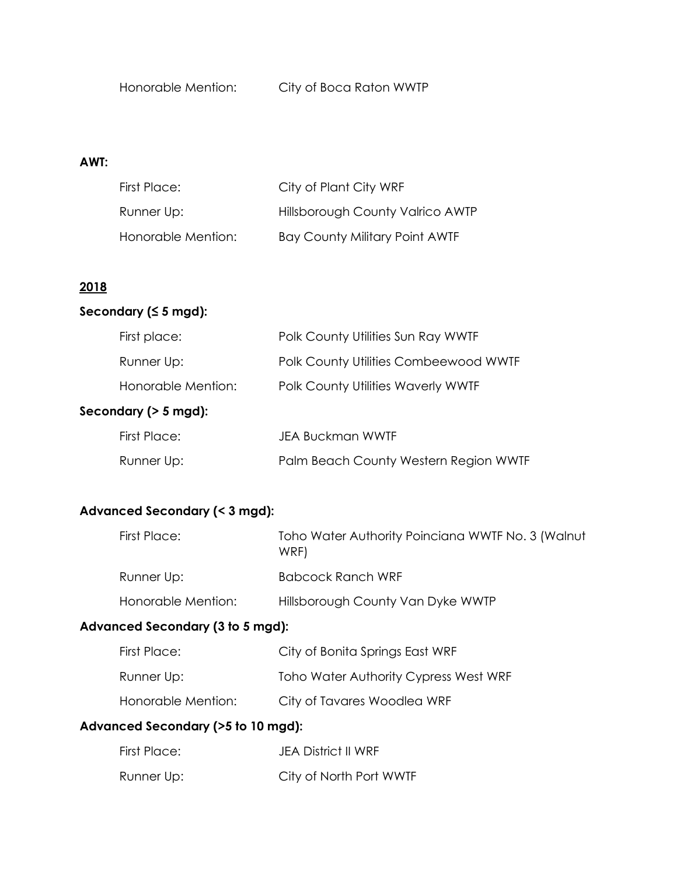#### **AWT:**

| First Place:       | City of Plant City WRF           |
|--------------------|----------------------------------|
| Runner Up:         | Hillsborough County Valrico AWTP |
| Honorable Mention: | Bay County Military Point AWTF   |

#### **2018**

#### **Secondary (≤ 5 mgd):**

| First place:            | Polk County Utilities Sun Ray WWTF        |  |
|-------------------------|-------------------------------------------|--|
| Runner Up:              | Polk County Utilities Combeewood WWTF     |  |
| Honorable Mention:      | <b>Polk County Utilities Waverly WWTF</b> |  |
| Secondary ( $> 5$ mgd): |                                           |  |
| First Place:            | <b>JEA Buckman WWTF</b>                   |  |
| Runner Up:              | Palm Beach County Western Region WWTF     |  |

#### **Advanced Secondary (< 3 mgd):**

| First Place:       | Toho Water Authority Poinciana WWTF No. 3 (Walnut<br>WRF) |
|--------------------|-----------------------------------------------------------|
| Runner Up:         | Babcock Ranch WRF                                         |
| Honorable Mention: | Hillsborough County Van Dyke WWTP                         |

#### **Advanced Secondary (3 to 5 mgd):**

| First Place:       | City of Bonita Springs East WRF       |
|--------------------|---------------------------------------|
| Runner Up:         | Toho Water Authority Cypress West WRF |
| Honorable Mention: | City of Tavares Woodlea WRF           |

#### **Advanced Secondary (>5 to 10 mgd):**

| First Place: | JEA District II WRF     |
|--------------|-------------------------|
| Runner Up:   | City of North Port WWTF |